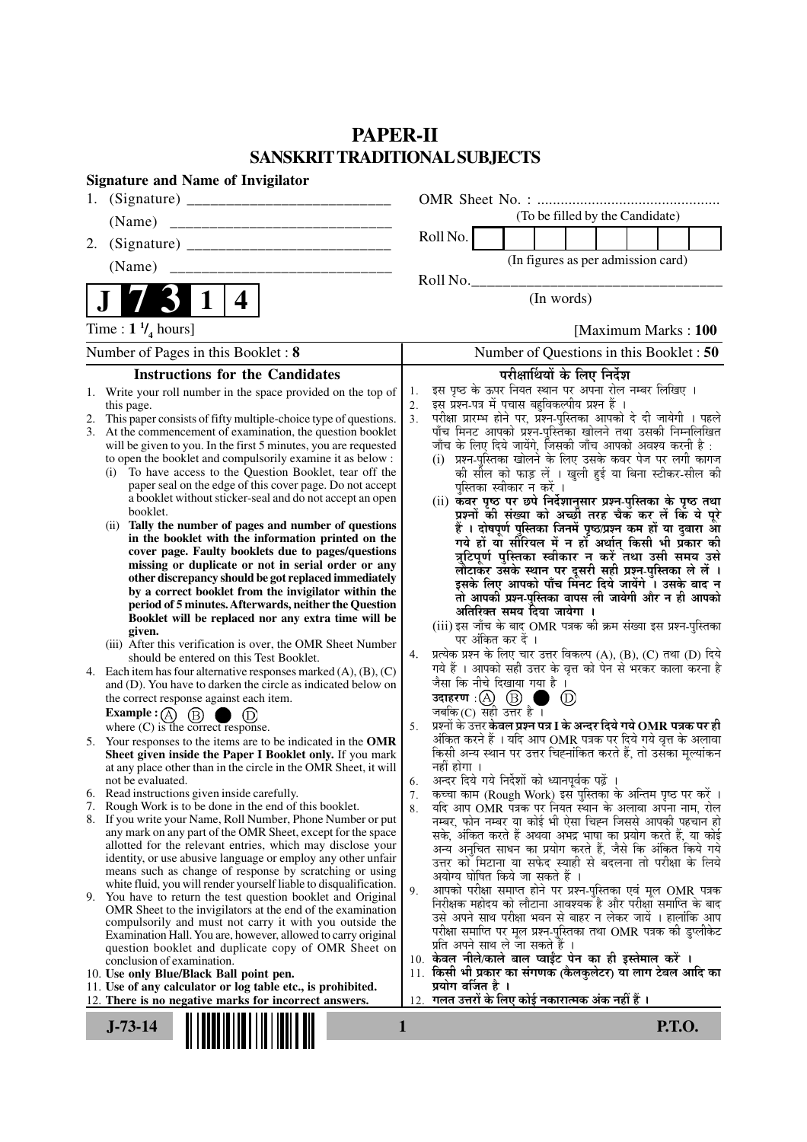## **PAPER-II SANSKRIT TRADITIONAL SUBJECTS**

| <b>Signature and Name of Invigilator</b>   |                                                                                                                                          |          |                                                                                                                                     |  |
|--------------------------------------------|------------------------------------------------------------------------------------------------------------------------------------------|----------|-------------------------------------------------------------------------------------------------------------------------------------|--|
|                                            |                                                                                                                                          |          |                                                                                                                                     |  |
|                                            |                                                                                                                                          |          | (To be filled by the Candidate)                                                                                                     |  |
|                                            |                                                                                                                                          |          | Roll No.                                                                                                                            |  |
|                                            | (Name)                                                                                                                                   |          | (In figures as per admission card)                                                                                                  |  |
|                                            |                                                                                                                                          |          | Roll No.                                                                                                                            |  |
| $\mathbf 1$<br>4                           |                                                                                                                                          |          | (In words)                                                                                                                          |  |
| Time : $1 \frac{1}{4}$ hours]              |                                                                                                                                          |          | [Maximum Marks: 100                                                                                                                 |  |
| Number of Pages in this Booklet: 8         |                                                                                                                                          |          | Number of Questions in this Booklet: 50                                                                                             |  |
|                                            | <b>Instructions for the Candidates</b>                                                                                                   |          | परीक्षार्थियों के लिए निर्देश                                                                                                       |  |
|                                            | 1. Write your roll number in the space provided on the top of                                                                            | 1.       | इस पृष्ठ के ऊपर नियत स्थान पर अपना रोल नम्बर लिखिए ।                                                                                |  |
| 2.                                         | this page.<br>This paper consists of fifty multiple-choice type of questions.                                                            | 2.<br>3. | इस प्रश्न-पत्र में पचास बहुविकल्पीय प्रश्न हैं ।<br>परीक्षा प्रारम्भ होने पर, प्रश्न-पुस्तिका आपको दे दी जायेगी । पहले              |  |
| 3.                                         | At the commencement of examination, the question booklet                                                                                 |          | पाँच मिनट आपको प्रश्न-पुस्तिका खोलने तथा उसकी निम्नलिखित                                                                            |  |
|                                            | will be given to you. In the first 5 minutes, you are requested                                                                          |          | जाँच के लिए दिये जायेंगे, जिसकी जाँच आपको अवश्य करनी है :                                                                           |  |
|                                            | to open the booklet and compulsorily examine it as below :<br>To have access to the Question Booklet, tear off the<br>(i)                |          | (i) प्रश्न-पुस्तिका खोलने के लिए उसके कवर पेज पर लगी कागज<br>की सील को फाड़ लें । खुली हुई या बिना स्टीकर-सील की                    |  |
|                                            | paper seal on the edge of this cover page. Do not accept                                                                                 |          | पुस्तिका स्वीकार न करें ।                                                                                                           |  |
|                                            | a booklet without sticker-seal and do not accept an open                                                                                 |          | (ii) कवर पृष्ठ पर छपे निर्देशानुसार प्रश्न-पुस्तिका के पृष्ठ तथा                                                                    |  |
|                                            | booklet.<br>(ii) Tally the number of pages and number of questions                                                                       |          | प्रश्नों की संख्या को अच्छी तरह चैक कर लें कि ये पूरे                                                                               |  |
|                                            | in the booklet with the information printed on the                                                                                       |          | हैं । दोषपूर्ण पुस्तिका जिनमें पृष्ठ/प्रश्न कम हों या दुबारा आ<br>गये हों यो सीरियल में न हों अर्थात् किसी भी प्रकार की             |  |
|                                            | cover page. Faulty booklets due to pages/questions                                                                                       |          | त्रुटिपूर्ण पुस्तिका स्वीकार न करें तथा उसी समय उसे                                                                                 |  |
|                                            | missing or duplicate or not in serial order or any<br>other discrepancy should be got replaced immediately                               |          | लौटाकर उसके स्थान पर दूसरी सही प्रश्न-पुस्तिका ले लें ।<br>इसके लिए आपको पाँच मिनट दिये जायेंगे । उसके बाद न                        |  |
|                                            | by a correct booklet from the invigilator within the                                                                                     |          |                                                                                                                                     |  |
|                                            | period of 5 minutes. Afterwards, neither the Question                                                                                    |          | तो आपकी प्रश्न-पुस्तिका वापस ली जायेगी और न ही आपको<br>अतिरिक्त समय दिया जायेगा ।                                                   |  |
|                                            | Booklet will be replaced nor any extra time will be<br>given.                                                                            |          | (iii) इस जाँच के बाद OMR पत्रक की क्रम संख्या इस प्रश्न-पुस्तिका                                                                    |  |
|                                            | (iii) After this verification is over, the OMR Sheet Number                                                                              |          | पर अंकित कर दें ।                                                                                                                   |  |
|                                            | should be entered on this Test Booklet.                                                                                                  | 4.       | प्रत्येक प्रश्न के लिए चार उत्तर विकल्प (A), (B), (C) तथा (D) दिये<br>गये हैं । आपको सही उत्तर के वृत्त को पेन से भरकर काला करना है |  |
|                                            | 4. Each item has four alternative responses marked $(A)$ , $(B)$ , $(C)$<br>and (D). You have to darken the circle as indicated below on |          | जैसा कि नीचे दिखाया गया है।                                                                                                         |  |
|                                            | the correct response against each item.                                                                                                  |          | उदाहरण $\cdot$ $\circ$ $\circ$ $\circ$ $\circ$<br>$\circled{D}$                                                                     |  |
|                                            |                                                                                                                                          |          | जबकि (C) सही उत्तर है $\overline{1}$                                                                                                |  |
|                                            | <b>Example :</b> $\overline{A}$ $\overline{B}$ $\overline{D}$ $\overline{D}$<br>where (C) is the correct response.                       | 5.       | प्रश्नों के उत्तर <b>केवल प्रश्न पत्र I के अन्दर दिये गये OMR पत्रक पर ही</b>                                                       |  |
|                                            | 5. Your responses to the items are to be indicated in the OMR<br>Sheet given inside the Paper I Booklet only. If you mark                |          | अंकित करने हैं । यदि आप OMR पत्रक पर दिये गये वृत्त के अलावा<br>किसी अन्य स्थान पर उत्तर चिह्नांकित करते हैं. तो उसका मुल्यांकन     |  |
|                                            | at any place other than in the circle in the OMR Sheet, it will                                                                          |          | नहीं होगा ।                                                                                                                         |  |
|                                            | not be evaluated.                                                                                                                        | 6.       | $\sim$ $\sim$ $\sim$<br>अन्दर दिये गये निर्देशों को ध्यानपूर्वक पढ़ें ।                                                             |  |
| 6.<br>7.                                   | Read instructions given inside carefully.<br>Rough Work is to be done in the end of this booklet.                                        | 7.<br>8. | कच्चा काम (Rough Work) इस पुस्तिका के अन्तिम पृष्ठ पर करें ।<br>यदि आप OMR पत्रक पर नियत स्थान के अलावा अपना नाम, रोल               |  |
|                                            | 8. If you write your Name, Roll Number, Phone Number or put                                                                              |          | नम्बर, फोन नम्बर या कोई भी ऐसा चिह्न जिससे आपकी पहचान हो                                                                            |  |
|                                            | any mark on any part of the OMR Sheet, except for the space                                                                              |          | सके, अंकित करते हैं अथवा अभद्र भाषा का प्रयोग करते हैं, या कोई                                                                      |  |
|                                            | allotted for the relevant entries, which may disclose your<br>identity, or use abusive language or employ any other unfair               |          | अन्य अनुचित साधन का प्रयोग करते हैं, जैसे कि अंकित किये गये                                                                         |  |
|                                            | means such as change of response by scratching or using                                                                                  |          | उत्तर को मिटाना या सफेद स्याही से बदलना तो परीक्षा के लिये<br>अयोग्य घोषित किये जा सकते हैं ।                                       |  |
|                                            | white fluid, you will render yourself liable to disqualification.                                                                        | 9.       | आपको परीक्षा समाप्त होने पर प्रश्न-पुस्तिका एवं मूल OMR पत्रक                                                                       |  |
|                                            | 9. You have to return the test question booklet and Original<br>OMR Sheet to the invigilators at the end of the examination              |          | निरीक्षक महोदय को लौटाना आवश्यक है और परीक्षा समाप्ति के बाद                                                                        |  |
|                                            | compulsorily and must not carry it with you outside the                                                                                  |          | उसे अपने साथ परीक्षा भवन से बाहर न लेकर जायें । हालांकि आप                                                                          |  |
|                                            | Examination Hall. You are, however, allowed to carry original                                                                            |          | परीक्षा समाप्ति पर मूल प्रश्न-पुस्तिका तथा OMR पत्रक की डुप्लीकेट<br>प्रति अपने साथ ले जा सकते हैं ।                                |  |
|                                            | question booklet and duplicate copy of OMR Sheet on<br>conclusion of examination.                                                        |          | 10. केवल नीले/काले बाल प्वाईंट पेन का ही इस्तेमाल करें ।                                                                            |  |
|                                            | 10. Use only Blue/Black Ball point pen.                                                                                                  |          | 11. किसी भी प्रकार का संगणक (कैलकुलेटर) या लाग टेबल आदि का                                                                          |  |
|                                            | 11. Use of any calculator or log table etc., is prohibited.<br>12. There is no negative marks for incorrect answers.                     |          | प्रयोग वर्जित है ।<br>12. गलत उत्तरों के लिए कोई नकारात्मक अंक नहीं हैं ।                                                           |  |
|                                            |                                                                                                                                          |          |                                                                                                                                     |  |
| <b>P.T.O.</b><br>$\mathbf{1}$<br>$J-73-14$ |                                                                                                                                          |          |                                                                                                                                     |  |
|                                            |                                                                                                                                          |          |                                                                                                                                     |  |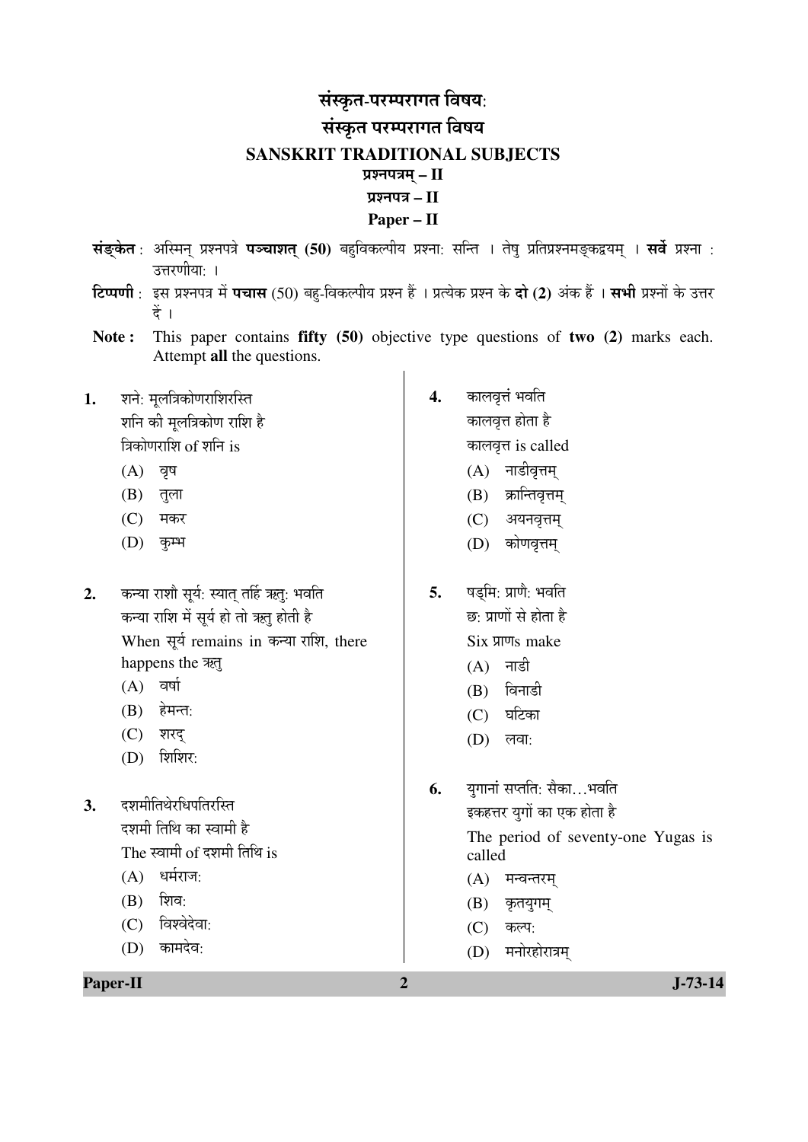## संस्कृत-परम्परागत विषय: संस्कृत परम्परागत विषय **SANSKRIT TRADITIONAL SUBJECTS**  प्रश्नपत्रम् – II ¯ÖÏ¿®Ö¯Ö¡Ö **– II Paper – II**

- ÃÖÓ'ËûÛêúŸÖ : †×ô֮ÖË ¯ÖÏ¿®Ö¯Ö¡Öê ¯Ö˜"ÖÖ¿ÖŸÖË **(50)** ²ÖÆãü×¾ÖÛú»¯ÖßµÖ ¯ÖÏ¿®ÖÖ: ÃÖ×®ŸÖ … ŸÖêÂÖã ¯ÖÏן֯ÖÏ¿®Ö´Ö'ËûÛú«üµÖ´ÖË … ÃÖ¾Öì ¯ÖÏ¿®ÖÖ : उत्तरणीया: ।
- **टिप्पणी** : इस प्रश्नपत्र में **पचास** (50) बह-विकल्पीय प्रश्न हैं । प्रत्येक प्रश्न के **दो (2)** अंक हैं । **सभी** प्रश्नों के उत्तर  $\ddot{\vec{a}}$  ।
- **Note :** This paper contains **fifty (50)** objective type questions of **two (2)** marks each. Attempt **all** the questions.
- 1. शने: मुलत्रिकोणराशिरस्ति शनि की मुलत्रिकोण राशि है त्रिकोणराशि of शनि is
	- $(A)$  वृष
	- $(B)$  तुला
	- $(C)$  मकर
	- (D) कृम्भ
- 2. कन्या राशौ सूर्य: स्यात् तर्हि ऋतु: भवति कन्या राशि में सूर्य हो तो ऋतु होती है When सूर्य remains in कन्या राशि, there happens the  $\overline{25}$ 
	- $(A)$  वर्षा
	- $(B)$  हेमन्त:
	- (C) शरद
	- $(D)$  शिशिर:
- **3.** दशमीतिथेरधिपतिरस्ति दशमी तिथि का स्वामी है The स्वामी of दशमी तिथि is  $(A)$  धर्मराज:
	-
	- $(B)$  शिव:
	- (C) विश्वेदेवा:
	- $(D)$  कामदेव:

**Paper-II 2 J-73-14** 

- **4.** कालवृत्तं भवति कालवृत्त होता है कालवृत्त is called
	- $(A)$  नाडीवृत्तम
	- $(B)$  क्रान्तिवृत्तम्
	- (C) अयनवृत्तम्
	- (D) कोणवृत्तम
- **5.** षडमि: प्राणै: भवति छ: प्राणों से होता है Six प्राणs make
	- $(A)$  नाडी
	- $(B)$  विनाडी
	- $(C)$  घटिका
	- $(D)$  लवा:
- **6.** युगानां सप्तति: सैका...भवति इकहत्तर युगों का एक होता है The period of seventy-one Yugas is called  $(A)$  मन्वन्तरम्  $(B)$  कृतयुगम्
	-
	- $(C)$  कल्प:
	- $(D)$  मनोरहोरात्रम्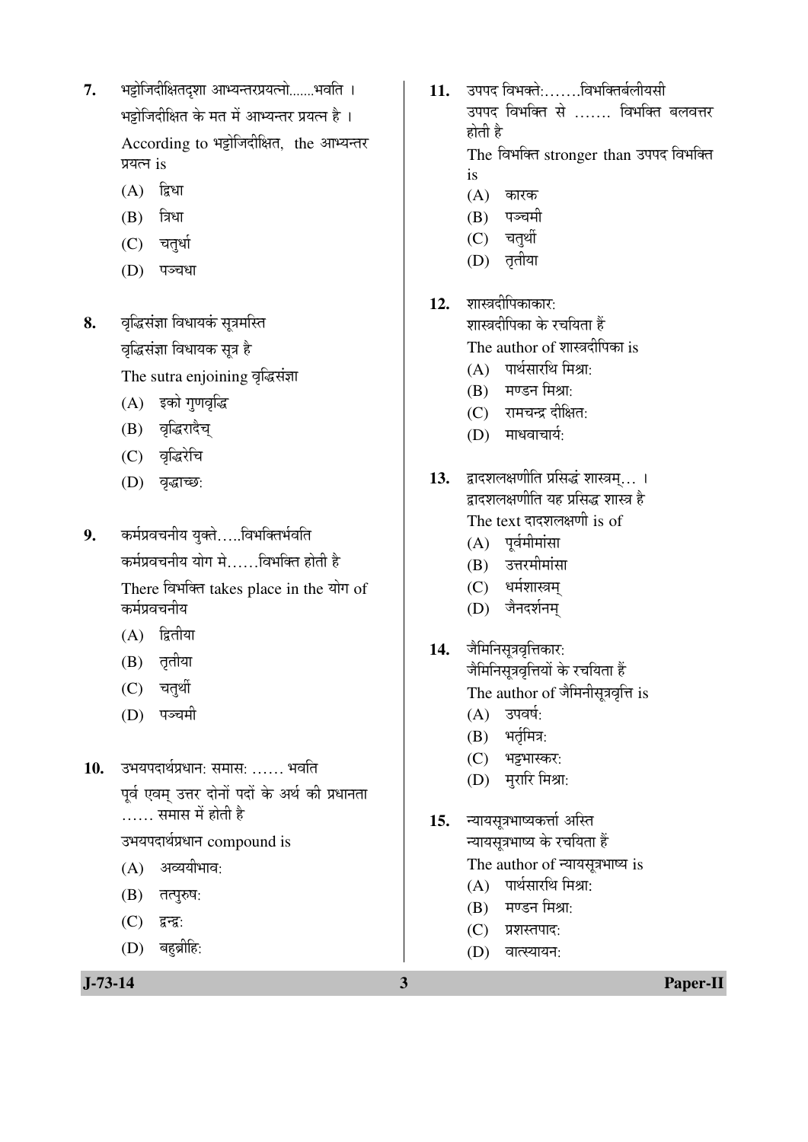- 7. भट्टोजिदीक्षितदृशा आभ्यन्तरप्रयत्नो.......भवति । भझेजिदीक्षित के मत में आभ्यन्तर प्रयत्न है । According to भट्टोजिदीक्षित. the आभ्यन्तर प्रयत्न is
	- $(A)$  द्विधा
	- $(B)$  त्रिधा
	- (C) चतुर्धा
	- (D) पञ्चधा
- 8. वृद्धिसंज्ञा विधायकं सूत्रमस्ति वृद्धिसंज्ञा विधायक सूत्र है The sutra enjoining वृद्धिसंज्ञा
	- (A) इको गणवृद्धि
	- (B) वृद्धिरादैच्
	- (C) वृद्धिरेचि
	- (D) वृद्धाच्छ:
- 9. कर्मप्रवचनीय युक्ते.....विभक्तिर्भवति कर्मप्रवचनीय योग मे......विभक्ति होती है There विभक्ति takes place in the योग of कर्मप्रवचनीय
	- $(A)$  द्वितीया
	- (B) तृतीया
	- (C) चतुर्थी
	- (D) पञ्चमी

10. उभयपदार्थप्रधान: समास: …… भवति पर्व एवम उत्तर दोनों पदों के अर्थ की प्रधानता …… समास में होती है

उभयपदार्थप्रधान compound is

- $(A)$  अव्ययीभाव:
- $(B)$  तत्पुरुष:
- $(C)$  द्वन्द्व:
- $(D)$  बहुब्रीहि:

11. उपपद विभक्ते:.......विभक्तिर्बलीयसी उपपद विभक्ति से ……. विभक्ति बलवत्तर होती है

The विभक्ति stronger than उपपद विभक्ति is

- $(A)$  कारक
- (B) पञ्चमी
- $(C)$  चतर्थी
- (D) तृतीया
- 12. शास्त्रदीपिकाकार:

शास्त्रदीपिका के रचयिता हैं

The author of शास्त्रदीपिका is

- $(A)$  पार्थसारथि मिश्राः
- $(B)$  मण्डन मिश्रा:
- $(C)$  रामचन्द्र दीक्षित:
- $(D)$  माधवाचार्यः
- 13. द्वादशलक्षणीति प्रसिद्धं शास्त्रम्... । दादशलक्षणीति यह प्रसिद्ध शास्त्र है The text दादशलक्षणी is of
	- $(A)$  पूर्वमीमांसा
	- $(B)$  उत्तरमीमांसा
	- (C) धर्मशास्त्रम्
	- (D) जैनदर्शनम्
- 14. जैमिनिसूत्रवृत्तिकार: जैमिनिसूत्रवृत्तियों के रचयिता हैं The author of जैमिनीसूत्रवृत्ति is
	- $(A)$  उपवर्ष:
	- $(B)$  भर्तृमित्र:
	- (C) भट्टभास्कर:
	- $(D)$  मुरारि मिश्रा:
- 15. न्यायसूत्रभाष्यकर्त्ता अस्ति च्यायसूत्रभाष्य के रचयिता हैं The author of न्यायसूत्रभाष्य is
	- $(A)$  पार्थसारथि मिश्रा:
	- $(B)$  मण्डन मिश्रा:
	- (C) प्रशस्तपाद:
	- $(D)$  वात्स्यायन: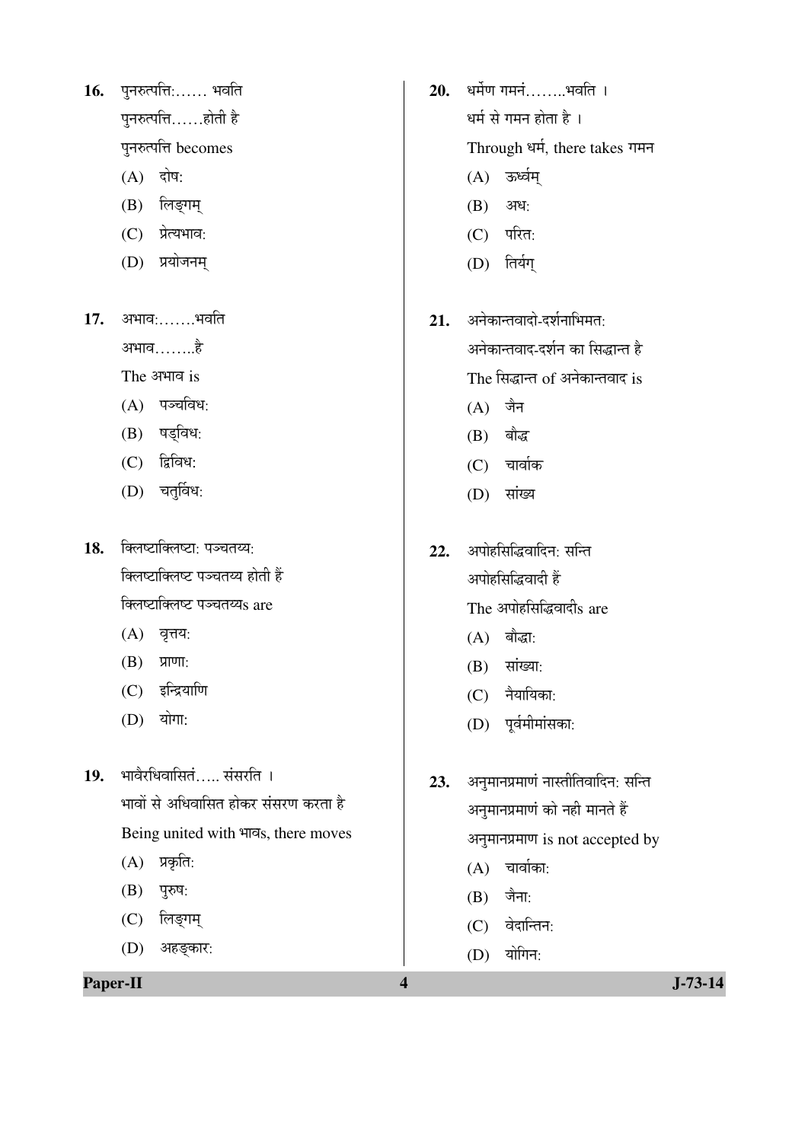16. पुनरुत्पत्ति:...... भवति पुनरुत्पत्ति $\ldots$ ..होती है पुनरुत्पत्ति becomes

- $(A)$  दोष:
- (B) लिङ्गम्
- (C) प्रेत्यभाव:
- (D) प्रयोजनम
- 17. अभाव:.......भवति †³ÖÖ¾Ö……..Æîü
	- The अभाव is
	- $(A)$  पञ्चविध:
	- $(B)$  षड्विध:
	- $(C)$  द्विविध:
	- $(D)$  चतुर्विध:
- 18. क्लिष्टाक्लिष्टा: पञ्चतय्य: क्लिष्टाक्लिष्ट पञ्चतय्य होती हैं क्लिष्टाक्लिष्ट पञ्चतय्यs are
	- $(A)$  वृत्तय:
	- $(B)$  प्राणा:
	- $(C)$  इन्द्रियाणि

(D) अहङ्कार:

 $(D)$  योगा:

19. भावेरधिवासितं..... संसरति । <u>भावों से अधिवासित होकर संसरण करता है</u> Being united with भावs, there moves  $(A)$  प्रकृति:  $(B)$  पुरुष: (C) लिङ्गम्

**Paper-II 1-73-14** 

- 20. धर्मेण गमनं........भवति । धर्म से गमन होता है $\pm$ Through धर्म, there takes गमन
	- $(A)$  ऊर्ध्वम्
	- $(B)$  अध:
	- $(C)$  परित:
	- (D) तिर्यग्
- 21. अनेकान्तवादो-दर्शनाभिमत<sup>.</sup> अनेकान्तवाद-दर्शन का सिद्धान्त है The सिद्धान्त of अनेकान्तवाद is
	- $(A)$  जैन
	- $(B)$  बौद्ध
	- $(C)$  चार्वाक
	- (D) सांख्य
- 22. अपोहसिद्धिवादिन: सन्ति अपोहसिद्धिवादी हैं The अपोहसिद्धिवादीs are
	- $(A)$  बौद्धा:
	- $(B)$  सांख्या:
	- $(C)$  नैयायिका:
	- $(D)$  पूर्वमीमांसका:
- 23. अनुमानप्रमाणं नास्तीतिवादिन: सन्ति अनुमानप्रमाणं को नही मानते हैं अनुमानप्रमाण is not accepted by  $(A)$  चार्वाका:  $(B)$  जैना: (C) वेदान्तिन:  $(D)$  योगिन: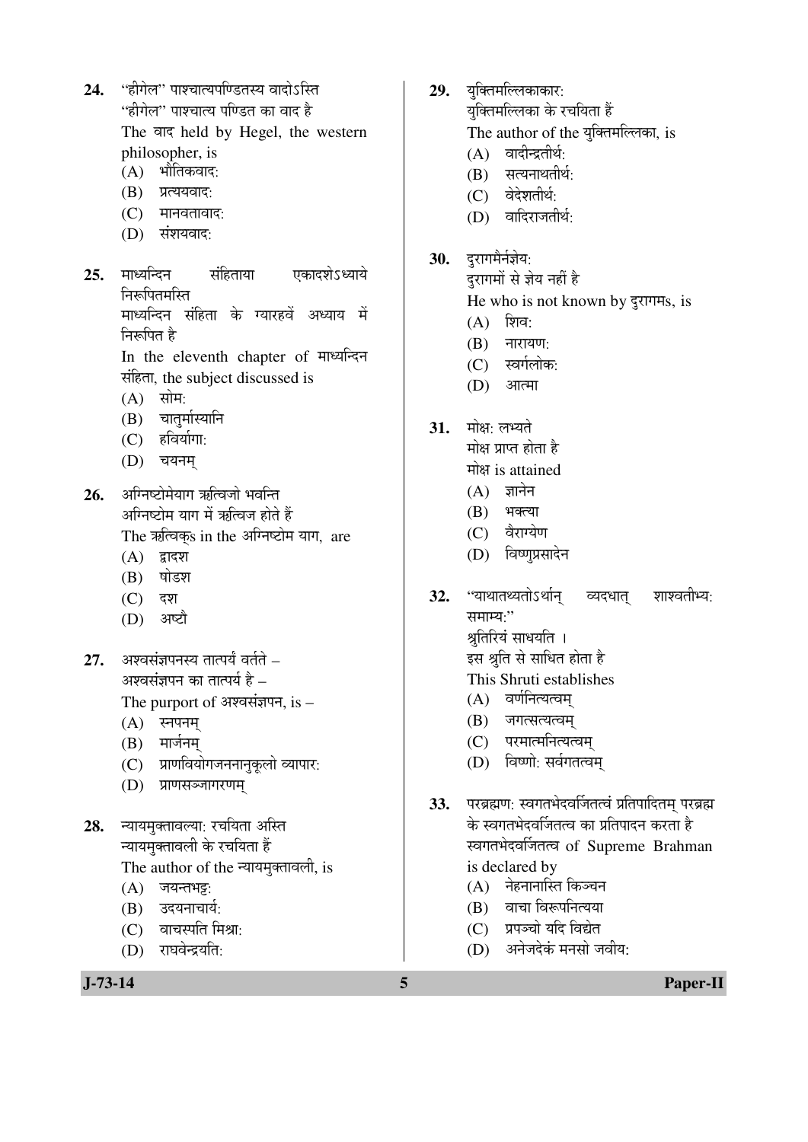- 24. "हीगेल" पाश्चात्यपण्डितस्य वादोऽस्ति "हीगेल" पाश्चात्य पण्डित का वाद है The बाद held by Hegel, the western philosopher, is
	- $(A)$  भौतिकवाद:
	- (B) प्रत्ययवाद:
	- $(C)$  मानवतावाद:
	- $(D)$  संशयवाद:
- **25.** माध्यन्दिन संहिताया एकादशेऽध्याये चिरुत्पितमस्ति माध्यन्दिन संहिता के ग्यारहवें अध्याय में निरूपित है

In the eleventh chapter of माध्यन्दिन संहिता, the subject discussed is

- $(A)$  सोम:
- (B) चातुर्मास्यानि
- $(C)$  हविर्यागा:
- $(D)$  चयनम

26. अग्निष्टोमेयाग ऋत्विजो भवन्ति अग्निष्टोम याग में ऋत्विज होते हैं The ऋत्विक्s in the अग्निष्टोम याग, are

- $(A)$  द्वादश
- $(B)$  षोडश
- (C) दश
- (D) अष्टौ
- **27.** ¥अश्वसंज्ञपनस्य तात्पर्यं वर्तते अश्वसंज्ञपन का तात्पर्य है –

The purport of अश्वसंज्ञपन, is  $-$ 

- $(A)$  स्नपनम्
- $(B)$  मार्जनम्
- (C) प्राणवियोगजननानकलो व्यापार:
- (D) प्राणसञ्जागरणम
- 28. न्यायमुक्तावल्या: रचयिता अस्ति <u>न्यायमुक्तावली के रचयिता हैं</u> The author of the न्यायमुक्तावली, is
	- $(A)$  जयन्तभट्ट:
	- (B) उदयनाचार्य:
	- $(C)$  वाचस्पति मिश्रा:
	- $(D)$  राघवेन्द्रयति:
- 29. युक्तिमल्लिकाकार: युक्तिमल्लिका के रचयिता हैं The author of the युक्तिमल्लिका, is
	- $(A)$  वादीन्द्रतीर्थ:
	- $(B)$  सत्यनाथतीर्थ:
	- (C) वेदेशतीर्थ:
	- (D) वादिराजतीर्थ:
- 30. दुरागमैर्नज्ञेय:
	- दरागमों से ज्ञेय नहीं है He who is not known by दुरागमs, is
	- $(A)$  शिव:
	- $(B)$  नारायण:
	- (C) स्वर्गलोक:
	- $(D)$  आत्मा
- 31. मोक्ष: लभ्यते
	- मोक्ष प्राप्त होता है
	- मोक्ष is attained
	- $(A)$  ज्ञानेन
	- $(B)$  भक्त्या
	- (C) वैराग्येण
	- (D) विष्णुप्रसादेन
- **32.** "याथातथ्यतोऽर्थान् व्यदधात् शाश्वतीभ्य: समाम्यः $"$ श्रुतिरियं साधयति । इस श्रुति से साधित होता है
	- This Shruti establishes
	- $(A)$  वर्णनित्यत्वम्
	- (B) जगत्सत्यत्वम
	- (C) परमात्मनित्यत्वम
	- (D) विष्णो: सर्वगतत्वम्
- **33.** परब्रह्मण: स्वगतभेदवर्जितत्वं प्रतिपादितम् परब्रह्म के स्वगतभेदवर्जितत्व का प्रतिपादन करता है स्वगतभेदवर्जितत्व of Supreme Brahman is declared by
	- $(A)$  नेहनानास्ति किञ्चन
	- $(B)$  वाचा विरूपनित्यया
	- (C) प्रपञ्चो यदि विद्येत
	- $(D)$  अनेजदेकं मनसो जवीय $\cdot$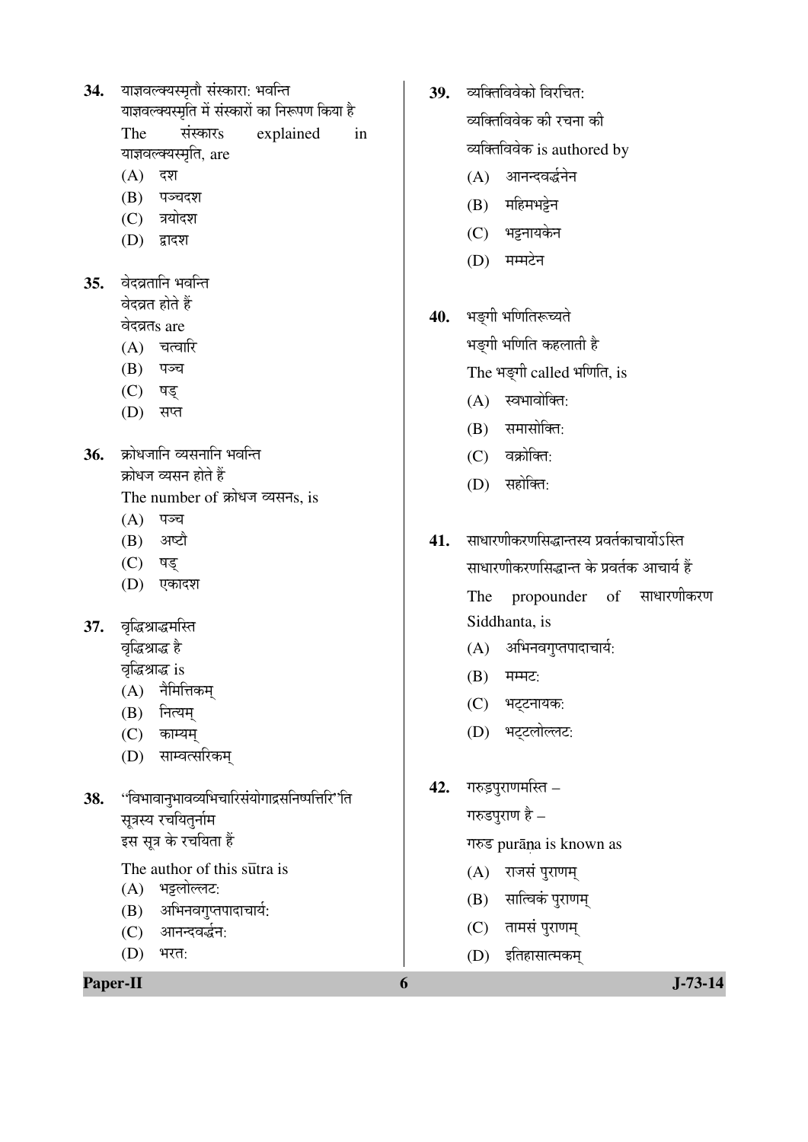- 34. याज्ञवल्क्यस्मृतौ संस्कारा: भवन्ति याज्ञवल्क्यस्मृति में संस्कारों का निरूपण किया है The संस्कारs explained in याज्ञवल्क्यस्मृति, are
	- $(A)$  दश
	- (B) पञ्चदश
	- $(C)$  त्रयोदश
	- $(D)$  द्वादश
- 35. वेदव्रतानि भवन्ति <u>वेदव्रत होते हैं</u> वेदव्रतs are
	- $(A)$  चत्वारि
	- (B) पञ्च
	- (C) षड्
	- (D) सप्त
- 36. क्रोधजानि व्यसनानि भवन्ति क्रोधज व्यसन होते हैं The number of क्रोधज व्यसनs, is
	- $(A)$  पञ्च
	- $(B)$  अष्टौ
	- (C) षड्
	- (D) एकादश
- 37. वृद्धिश्राद्धमस्ति वृद्धिश्राद्ध है वृद्धिश्राद्ध is
	- $(A)$  नैमित्तिकम
	- $(B)$  नित्यम्
	- $(C)$  काम्यम्
	- (D) साम्वत्सरिकम्
- 38. "विभावानुभावव्यभिचारिसंयोगाद्रसनिष्पत्तिरि'ति सूत्रस्य रचयितूर्नाम इस सूत्र के रचयिता हैं

The author of this sutra is

- (A) भट्टलोल्लट:
- $(B)$  अभिनवगुप्तपादाचार्य:
- (C) आनन्दवर्द्धन:
- $(D)$  भरत:

**Paper-II 6 J-73-14** 

- 39. व्यक्तिविवेको विरचित व्यक्तिविवेक की रचना की व्यक्तिविवेक is authored by
	- (A) आनन्दवर्द्धनेन
	- $(B)$  महिमभट्टेन
	- (C) भट्टनायकेन
	- $(D)$  मम्मटेन
- 40. भङ्गी भणितिरूच्यते
	- भङ्गी भणिति कहलाती है

The भङ्गी called भणिति, is

- $(A)$  स्वभावोक्ति:
- $(B)$  समासोक्ति:
- $(C)$  वक्रोक्ति:
- $(D)$  सहोक्ति:
- 41. साधारणीकरणसिद्धान्तस्य प्रवर्तकाचार्योऽस्ति साधारणीकरणसिद्धान्त के प्रवर्तक आचार्य हैं The propounder of साधारणीकरण Siddhanta, is
	- $(A)$  अभिनवगुप्तपादाचार्य:
	- $(B)$  मम्मट:
	- (C) भट्टनायक:
	- (D) भट्टलोल्लट:
- 42. गरुडुपुराणमस्ति –

 $\bar{\mathcal{H}}$ गरुडपुराण है –

गरुड purāna is known as

- $(A)$  राजसं पुराणम्
- $(B)$  सात्विकं पुराणम्
- $(C)$  तामसं पुराणम्
- (D) इतिहासात्मकम्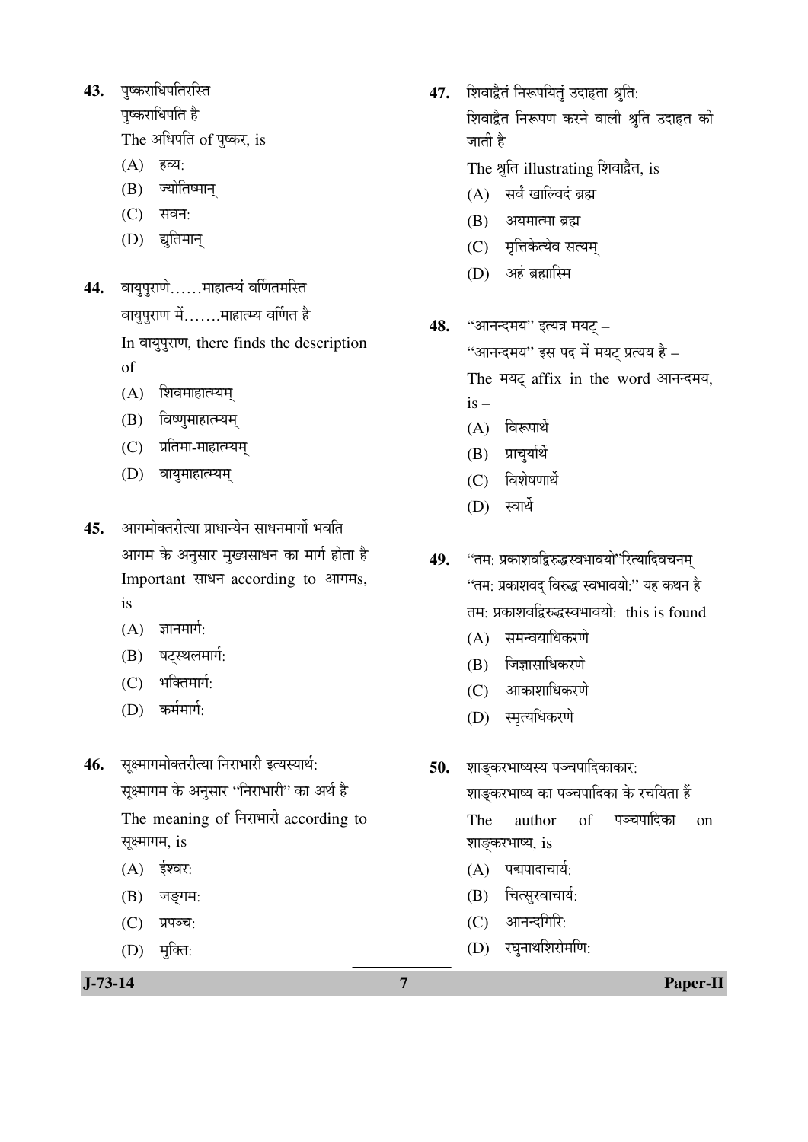43. पुष्कराधिपतिरस्ति

पष्कराधिपति है

The अधिपति of पुष्कर, is

- (A) हव्य:
- (B) ज्योतिष्मान्
- $(C)$  सवन:
- (D) द्युतिमान्
- 44. वायुपुराणे......माहात्म्यं वर्णितमस्ति वायुपुराण में.......माहात्म्य वर्णित है In वायुपुराण, there finds the description of
	- (A) शिवमाहात्म्यम्
	- $(B)$  विष्णुमाहात्म्यम्
	- (C) प्रतिमा-माहात्म्यम्
	- (D) वायुमाहात्म्यम्
- 45. आगमोक्तरीत्या प्राधान्येन साधनमार्गो भवति आगम के अनुसार मुख्यसाधन का मार्ग होता है Important साधन according to आगमs, is
	- $(A)$  ज्ञानमार्ग:
	- (B) षट्स्थलमार्ग:
	- $(C)$  भक्तिमार्ग:
	- $(D)$  कर्ममार्ग:

46. सूक्ष्मागमोक्तरीत्या निराभारी इत्यस्यार्थ: सूक्ष्मागम के अनुसार ''निराभारी'' का अर्थ है The meaning of निराभारी according to सूक्ष्मागम, is

- $(A)$  ईश्वर:
- $(B)$  जङ्गम:
- $(C)$  प्रपञ्च:
- $(D)$  मुक्ति:

47. शिवाद्वैतं निरूपयितुं उदाहता श्रुति: <u>शिवाद्वैत निरूपण करने वाली श्रुति उदाहत की</u> जाती है

The श्रुति illustrating शिवाद्वैत, is

- $(A)$  सर्वं खाल्विदं ब्रह्म
- $(B)$  अयमात्मा ब्रह्म
- (C) मृत्तिकेत्येव सत्यम्
- $(D)$  अहं ब्रह्मास्मि
- 48. "आनन्दमय" इत्यत्र मयट् "आनन्दमय" इस पद में मयट प्रत्यय है $-$ The मयट् affix in the word आनन्दमय,  $is (A)$  विरूपार्थ  $(B)$  प्राचर्यार्थे
	- $(C)$  विशेषणार्थे
	- $(D)$  स्वार्थे

49. "तम: प्रकाशवद्विरुद्धस्वभावयो"रित्यादिवचनम् "तम: प्रकाशवद विरुद्ध स्वभावयो:" यह कथन है तम: प्रकाशवद्विरुद्धस्वभावयो: this is found

- $(A)$  समन्वयाधिकरणे
- $(B)$  जिज्ञासाधिकरणे
- $(C)$  आकाशाधिकरणे
- (D) स्मृत्यधिकरणे
- 50. शाङ्करभाष्यस्य पञ्चपादिकाकार:

शाङकरभाष्य का पञ्चपादिका के रचयिता हैं The author of पञ्चपादिका on शाङ्करभाष्य, is

- $(A)$  पद्मपादाचार्य:
- $(B)$  चित्सुरवाचार्य:
- $(C)$  आनन्दगिरि:
- (D) रघुनाथशिरोमणि:

**J-73-14 7 Paper-II**